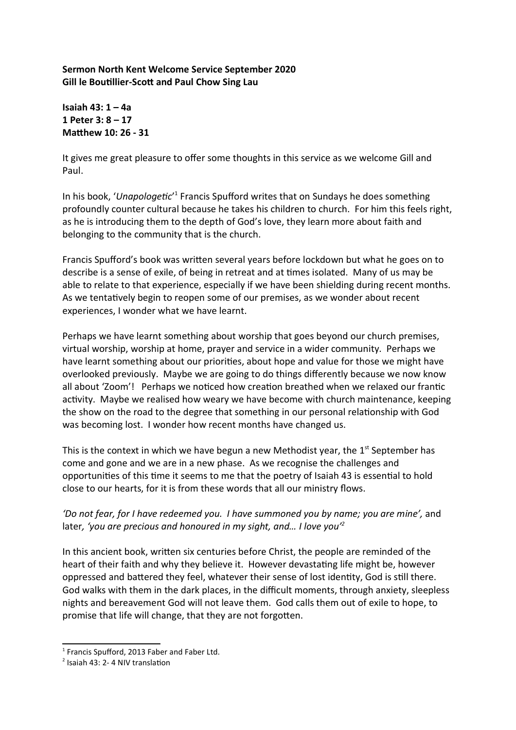Sermon North Kent Welcome Service September 2020 Gill le Boutillier-Scott and Paul Chow Sing Lau

Isaiah 43: 1 – 4a 1 Peter 3: 8 – 17 Matthew 10: 26 - 31

It gives me great pleasure to offer some thoughts in this service as we welcome Gill and Paul.

In his book, 'Unapologetic'<sup>1</sup> Francis Spufford writes that on Sundays he does something profoundly counter cultural because he takes his children to church. For him this feels right, as he is introducing them to the depth of God's love, they learn more about faith and belonging to the community that is the church.

Francis Spufford's book was written several years before lockdown but what he goes on to describe is a sense of exile, of being in retreat and at times isolated. Many of us may be able to relate to that experience, especially if we have been shielding during recent months. As we tentatively begin to reopen some of our premises, as we wonder about recent experiences, I wonder what we have learnt.

Perhaps we have learnt something about worship that goes beyond our church premises, virtual worship, worship at home, prayer and service in a wider community. Perhaps we have learnt something about our priorities, about hope and value for those we might have overlooked previously. Maybe we are going to do things differently because we now know all about 'Zoom'! Perhaps we noticed how creation breathed when we relaxed our frantic activity. Maybe we realised how weary we have become with church maintenance, keeping the show on the road to the degree that something in our personal relationship with God was becoming lost. I wonder how recent months have changed us.

This is the context in which we have begun a new Methodist year, the  $1<sup>st</sup>$  September has come and gone and we are in a new phase. As we recognise the challenges and opportunities of this time it seems to me that the poetry of Isaiah 43 is essential to hold close to our hearts, for it is from these words that all our ministry flows.

## 'Do not fear, for I have redeemed you. I have summoned you by name; you are mine', and later, 'you are precious and honoured in my sight, and... I love you<sup> $2$ </sup>

In this ancient book, written six centuries before Christ, the people are reminded of the heart of their faith and why they believe it. However devastating life might be, however oppressed and battered they feel, whatever their sense of lost identity, God is still there. God walks with them in the dark places, in the difficult moments, through anxiety, sleepless nights and bereavement God will not leave them. God calls them out of exile to hope, to promise that life will change, that they are not forgotten.

<sup>&</sup>lt;sup>1</sup> Francis Spufford, 2013 Faber and Faber Ltd.

 $2$  Isaiah 43: 2-4 NIV translation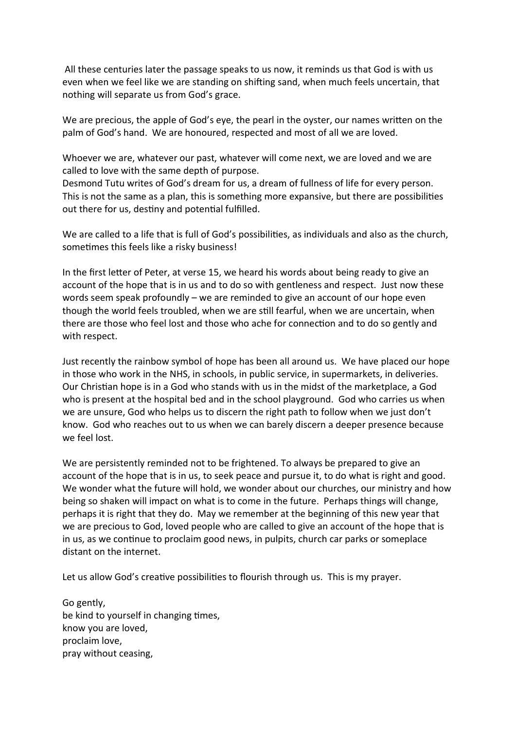All these centuries later the passage speaks to us now, it reminds us that God is with us even when we feel like we are standing on shifting sand, when much feels uncertain, that nothing will separate us from God's grace.

We are precious, the apple of God's eye, the pearl in the oyster, our names written on the palm of God's hand. We are honoured, respected and most of all we are loved.

Whoever we are, whatever our past, whatever will come next, we are loved and we are called to love with the same depth of purpose.

Desmond Tutu writes of God's dream for us, a dream of fullness of life for every person. This is not the same as a plan, this is something more expansive, but there are possibilities out there for us, destiny and potential fulfilled.

We are called to a life that is full of God's possibilities, as individuals and also as the church, sometimes this feels like a risky business!

In the first letter of Peter, at verse 15, we heard his words about being ready to give an account of the hope that is in us and to do so with gentleness and respect. Just now these words seem speak profoundly – we are reminded to give an account of our hope even though the world feels troubled, when we are still fearful, when we are uncertain, when there are those who feel lost and those who ache for connection and to do so gently and with respect.

Just recently the rainbow symbol of hope has been all around us. We have placed our hope in those who work in the NHS, in schools, in public service, in supermarkets, in deliveries. Our Christian hope is in a God who stands with us in the midst of the marketplace, a God who is present at the hospital bed and in the school playground. God who carries us when we are unsure, God who helps us to discern the right path to follow when we just don't know. God who reaches out to us when we can barely discern a deeper presence because we feel lost.

We are persistently reminded not to be frightened. To always be prepared to give an account of the hope that is in us, to seek peace and pursue it, to do what is right and good. We wonder what the future will hold, we wonder about our churches, our ministry and how being so shaken will impact on what is to come in the future. Perhaps things will change, perhaps it is right that they do. May we remember at the beginning of this new year that we are precious to God, loved people who are called to give an account of the hope that is in us, as we continue to proclaim good news, in pulpits, church car parks or someplace distant on the internet.

Let us allow God's creative possibilities to flourish through us. This is my prayer.

Go gently, be kind to yourself in changing times, know you are loved, proclaim love, pray without ceasing,